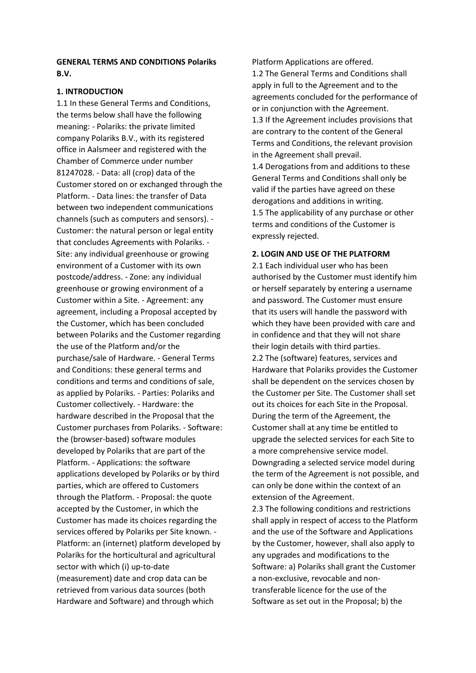# **GENERAL TERMS AND CONDITIONS Polariks B.V.**

### **1. INTRODUCTION**

1.1 In these General Terms and Conditions, the terms below shall have the following meaning: - Polariks: the private limited company Polariks B.V., with its registered office in Aalsmeer and registered with the Chamber of Commerce under number 81247028. - Data: all (crop) data of the Customer stored on or exchanged through the Platform. - Data lines: the transfer of Data between two independent communications channels (such as computers and sensors). - Customer: the natural person or legal entity that concludes Agreements with Polariks. - Site: any individual greenhouse or growing environment of a Customer with its own postcode/address. - Zone: any individual greenhouse or growing environment of a Customer within a Site. - Agreement: any agreement, including a Proposal accepted by the Customer, which has been concluded between Polariks and the Customer regarding the use of the Platform and/or the purchase/sale of Hardware. - General Terms and Conditions: these general terms and conditions and terms and conditions of sale, as applied by Polariks. - Parties: Polariks and Customer collectively. - Hardware: the hardware described in the Proposal that the Customer purchases from Polariks. - Software: the (browser-based) software modules developed by Polariks that are part of the Platform. - Applications: the software applications developed by Polariks or by third parties, which are offered to Customers through the Platform. - Proposal: the quote accepted by the Customer, in which the Customer has made its choices regarding the services offered by Polariks per Site known. - Platform: an (internet) platform developed by Polariks for the horticultural and agricultural sector with which (i) up-to-date (measurement) date and crop data can be retrieved from various data sources (both Hardware and Software) and through which

Platform Applications are offered.

1.2 The General Terms and Conditions shall apply in full to the Agreement and to the agreements concluded for the performance of or in conjunction with the Agreement. 1.3 If the Agreement includes provisions that are contrary to the content of the General Terms and Conditions, the relevant provision in the Agreement shall prevail. 1.4 Derogations from and additions to these General Terms and Conditions shall only be valid if the parties have agreed on these derogations and additions in writing. 1.5 The applicability of any purchase or other

terms and conditions of the Customer is expressly rejected.

### **2. LOGIN AND USE OF THE PLATFORM**

2.1 Each individual user who has been authorised by the Customer must identify him or herself separately by entering a username and password. The Customer must ensure that its users will handle the password with which they have been provided with care and in confidence and that they will not share their login details with third parties. 2.2 The (software) features, services and Hardware that Polariks provides the Customer shall be dependent on the services chosen by the Customer per Site. The Customer shall set out its choices for each Site in the Proposal. During the term of the Agreement, the Customer shall at any time be entitled to upgrade the selected services for each Site to a more comprehensive service model. Downgrading a selected service model during the term of the Agreement is not possible, and can only be done within the context of an extension of the Agreement.

2.3 The following conditions and restrictions shall apply in respect of access to the Platform and the use of the Software and Applications by the Customer, however, shall also apply to any upgrades and modifications to the Software: a) Polariks shall grant the Customer a non-exclusive, revocable and nontransferable licence for the use of the Software as set out in the Proposal; b) the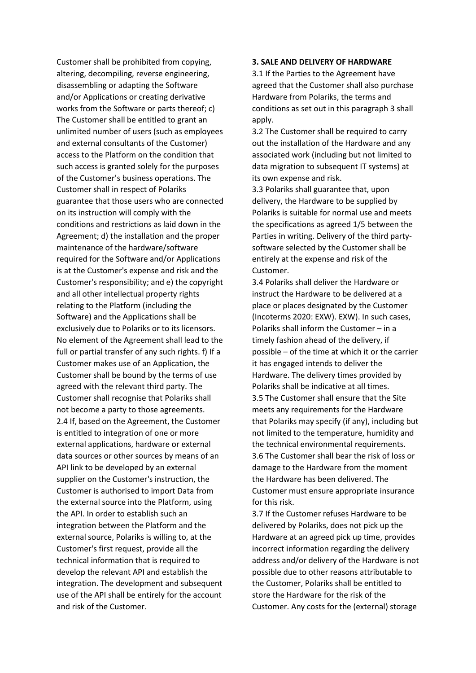Customer shall be prohibited from copying, altering, decompiling, reverse engineering, disassembling or adapting the Software and/or Applications or creating derivative works from the Software or parts thereof; c) The Customer shall be entitled to grant an unlimited number of users (such as employees and external consultants of the Customer) access to the Platform on the condition that such access is granted solely for the purposes of the Customer's business operations. The Customer shall in respect of Polariks guarantee that those users who are connected on its instruction will comply with the conditions and restrictions as laid down in the Agreement; d) the installation and the proper maintenance of the hardware/software required for the Software and/or Applications is at the Customer's expense and risk and the Customer's responsibility; and e) the copyright and all other intellectual property rights relating to the Platform (including the Software) and the Applications shall be exclusively due to Polariks or to its licensors. No element of the Agreement shall lead to the full or partial transfer of any such rights. f) If a Customer makes use of an Application, the Customer shall be bound by the terms of use agreed with the relevant third party. The Customer shall recognise that Polariks shall not become a party to those agreements. 2.4 If, based on the Agreement, the Customer is entitled to integration of one or more external applications, hardware or external data sources or other sources by means of an API link to be developed by an external supplier on the Customer's instruction, the Customer is authorised to import Data from the external source into the Platform, using the API. In order to establish such an integration between the Platform and the external source, Polariks is willing to, at the Customer's first request, provide all the technical information that is required to develop the relevant API and establish the integration. The development and subsequent use of the API shall be entirely for the account and risk of the Customer.

### **3. SALE AND DELIVERY OF HARDWARE**

3.1 If the Parties to the Agreement have agreed that the Customer shall also purchase Hardware from Polariks, the terms and conditions as set out in this paragraph 3 shall apply.

3.2 The Customer shall be required to carry out the installation of the Hardware and any associated work (including but not limited to data migration to subsequent IT systems) at its own expense and risk.

3.3 Polariks shall guarantee that, upon delivery, the Hardware to be supplied by Polariks is suitable for normal use and meets the specifications as agreed 1/5 between the Parties in writing. Delivery of the third partysoftware selected by the Customer shall be entirely at the expense and risk of the Customer.

3.4 Polariks shall deliver the Hardware or instruct the Hardware to be delivered at a place or places designated by the Customer (Incoterms 2020: EXW). EXW). In such cases, Polariks shall inform the Customer – in a timely fashion ahead of the delivery, if possible – of the time at which it or the carrier it has engaged intends to deliver the Hardware. The delivery times provided by Polariks shall be indicative at all times. 3.5 The Customer shall ensure that the Site meets any requirements for the Hardware that Polariks may specify (if any), including but not limited to the temperature, humidity and the technical environmental requirements. 3.6 The Customer shall bear the risk of loss or damage to the Hardware from the moment the Hardware has been delivered. The Customer must ensure appropriate insurance for this risk.

3.7 If the Customer refuses Hardware to be delivered by Polariks, does not pick up the Hardware at an agreed pick up time, provides incorrect information regarding the delivery address and/or delivery of the Hardware is not possible due to other reasons attributable to the Customer, Polariks shall be entitled to store the Hardware for the risk of the Customer. Any costs for the (external) storage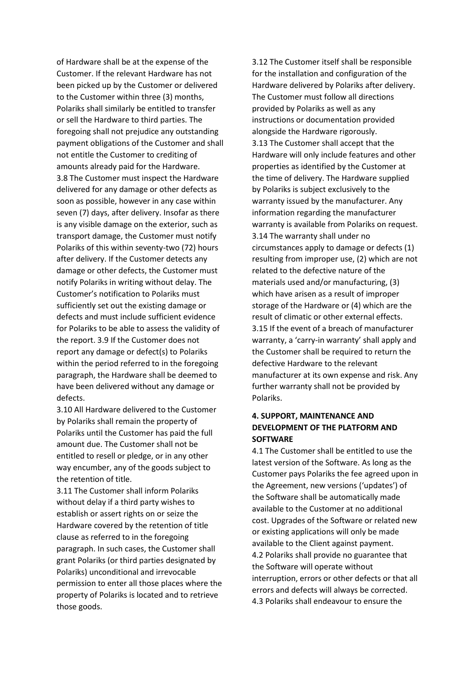of Hardware shall be at the expense of the Customer. If the relevant Hardware has not been picked up by the Customer or delivered to the Customer within three (3) months, Polariks shall similarly be entitled to transfer or sell the Hardware to third parties. The foregoing shall not prejudice any outstanding payment obligations of the Customer and shall not entitle the Customer to crediting of amounts already paid for the Hardware. 3.8 The Customer must inspect the Hardware delivered for any damage or other defects as soon as possible, however in any case within seven (7) days, after delivery. Insofar as there is any visible damage on the exterior, such as transport damage, the Customer must notify Polariks of this within seventy-two (72) hours after delivery. If the Customer detects any damage or other defects, the Customer must notify Polariks in writing without delay. The Customer's notification to Polariks must sufficiently set out the existing damage or defects and must include sufficient evidence for Polariks to be able to assess the validity of the report. 3.9 If the Customer does not report any damage or defect(s) to Polariks within the period referred to in the foregoing paragraph, the Hardware shall be deemed to have been delivered without any damage or defects.

3.10 All Hardware delivered to the Customer by Polariks shall remain the property of Polariks until the Customer has paid the full amount due. The Customer shall not be entitled to resell or pledge, or in any other way encumber, any of the goods subject to the retention of title.

3.11 The Customer shall inform Polariks without delay if a third party wishes to establish or assert rights on or seize the Hardware covered by the retention of title clause as referred to in the foregoing paragraph. In such cases, the Customer shall grant Polariks (or third parties designated by Polariks) unconditional and irrevocable permission to enter all those places where the property of Polariks is located and to retrieve those goods.

3.12 The Customer itself shall be responsible for the installation and configuration of the Hardware delivered by Polariks after delivery. The Customer must follow all directions provided by Polariks as well as any instructions or documentation provided alongside the Hardware rigorously. 3.13 The Customer shall accept that the Hardware will only include features and other properties as identified by the Customer at the time of delivery. The Hardware supplied by Polariks is subject exclusively to the warranty issued by the manufacturer. Any information regarding the manufacturer warranty is available from Polariks on request. 3.14 The warranty shall under no circumstances apply to damage or defects (1) resulting from improper use, (2) which are not related to the defective nature of the materials used and/or manufacturing, (3) which have arisen as a result of improper storage of the Hardware or (4) which are the result of climatic or other external effects. 3.15 If the event of a breach of manufacturer warranty, a 'carry-in warranty' shall apply and the Customer shall be required to return the defective Hardware to the relevant manufacturer at its own expense and risk. Any further warranty shall not be provided by Polariks.

# **4. SUPPORT, MAINTENANCE AND DEVELOPMENT OF THE PLATFORM AND SOFTWARE**

4.1 The Customer shall be entitled to use the latest version of the Software. As long as the Customer pays Polariks the fee agreed upon in the Agreement, new versions ('updates') of the Software shall be automatically made available to the Customer at no additional cost. Upgrades of the Software or related new or existing applications will only be made available to the Client against payment. 4.2 Polariks shall provide no guarantee that the Software will operate without interruption, errors or other defects or that all errors and defects will always be corrected. 4.3 Polariks shall endeavour to ensure the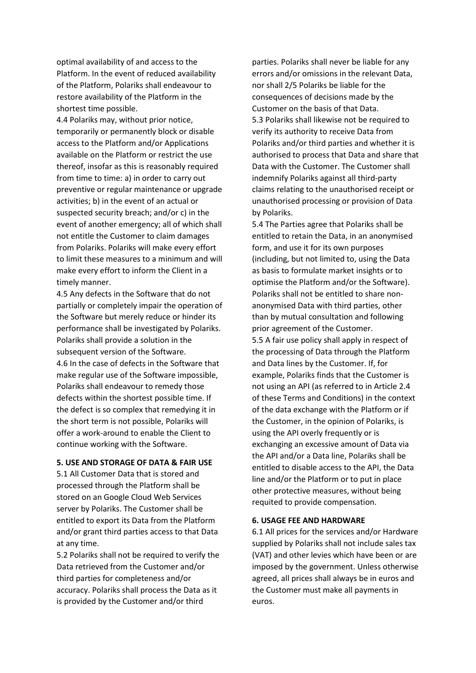optimal availability of and access to the Platform. In the event of reduced availability of the Platform, Polariks shall endeavour to restore availability of the Platform in the shortest time possible.

4.4 Polariks may, without prior notice, temporarily or permanently block or disable access to the Platform and/or Applications available on the Platform or restrict the use thereof, insofar as this is reasonably required from time to time: a) in order to carry out preventive or regular maintenance or upgrade activities; b) in the event of an actual or suspected security breach; and/or c) in the event of another emergency; all of which shall not entitle the Customer to claim damages from Polariks. Polariks will make every effort to limit these measures to a minimum and will make every effort to inform the Client in a timely manner.

4.5 Any defects in the Software that do not partially or completely impair the operation of the Software but merely reduce or hinder its performance shall be investigated by Polariks. Polariks shall provide a solution in the subsequent version of the Software. 4.6 In the case of defects in the Software that make regular use of the Software impossible, Polariks shall endeavour to remedy those defects within the shortest possible time. If the defect is so complex that remedying it in the short term is not possible, Polariks will offer a work-around to enable the Client to continue working with the Software.

#### **5. USE AND STORAGE OF DATA & FAIR USE**

5.1 All Customer Data that is stored and processed through the Platform shall be stored on an Google Cloud Web Services server by Polariks. The Customer shall be entitled to export its Data from the Platform and/or grant third parties access to that Data at any time.

5.2 Polariks shall not be required to verify the Data retrieved from the Customer and/or third parties for completeness and/or accuracy. Polariks shall process the Data as it is provided by the Customer and/or third

parties. Polariks shall never be liable for any errors and/or omissions in the relevant Data, nor shall 2/5 Polariks be liable for the consequences of decisions made by the Customer on the basis of that Data. 5.3 Polariks shall likewise not be required to verify its authority to receive Data from Polariks and/or third parties and whether it is authorised to process that Data and share that Data with the Customer. The Customer shall indemnify Polariks against all third-party claims relating to the unauthorised receipt or unauthorised processing or provision of Data by Polariks.

5.4 The Parties agree that Polariks shall be entitled to retain the Data, in an anonymised form, and use it for its own purposes (including, but not limited to, using the Data as basis to formulate market insights or to optimise the Platform and/or the Software). Polariks shall not be entitled to share nonanonymised Data with third parties, other than by mutual consultation and following prior agreement of the Customer.

5.5 A fair use policy shall apply in respect of the processing of Data through the Platform and Data lines by the Customer. If, for example, Polariks finds that the Customer is not using an API (as referred to in Article 2.4 of these Terms and Conditions) in the context of the data exchange with the Platform or if the Customer, in the opinion of Polariks, is using the API overly frequently or is exchanging an excessive amount of Data via the API and/or a Data line, Polariks shall be entitled to disable access to the API, the Data line and/or the Platform or to put in place other protective measures, without being requited to provide compensation.

#### **6. USAGE FEE AND HARDWARE**

6.1 All prices for the services and/or Hardware supplied by Polariks shall not include sales tax (VAT) and other levies which have been or are imposed by the government. Unless otherwise agreed, all prices shall always be in euros and the Customer must make all payments in euros.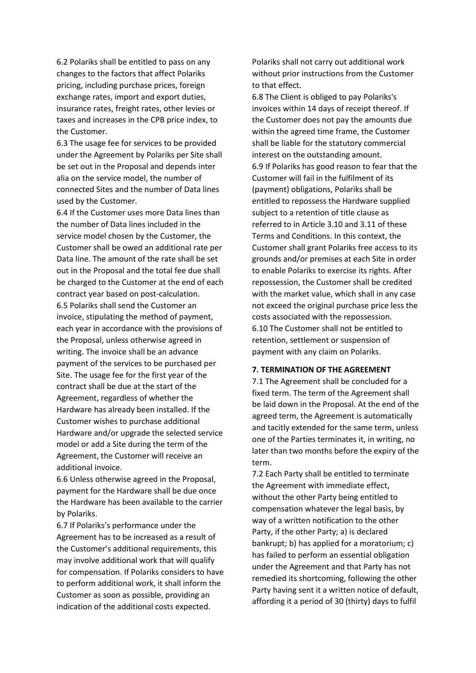6.2 Polariks shall be entitled to pass on any changes to the factors that affect Polariks pricing, including purchase prices, foreign exchange rates, import and export duties, insurance rates, freight rates, other levies or taxes and increases in the CPB price index, to the Customer.

6.3 The usage fee for services to be provided under the Agreement by Polariks per Site shall be set out in the Proposal and depends inter alia on the service model, the number of connected Sites and the number of Data lines used by the Customer.

6.4 If the Customer uses more Data lines than the number of Data lines included in the service model chosen by the Customer, the Customer shall be owed an additional rate per Data line. The amount of the rate shall be set out in the Proposal and the total fee due shall be charged to the Customer at the end of each contract year based on post-calculation. 6.5 Polariks shall send the Customer an invoice, stipulating the method of payment, each year in accordance with the provisions of the Proposal, unless otherwise agreed in writing. The invoice shall be an advance payment of the services to be purchased per Site. The usage fee for the first year of the contract shall be due at the start of the Agreement, regardless of whether the Hardware has already been installed. If the Customer wishes to purchase additional Hardware and/or upgrade the selected service model or add a Site during the term of the Agreement, the Customer will receive an additional invoice.

6.6 Unless otherwise agreed in the Proposal, payment for the Hardware shall be due once the Hardware has been available to the carrier by Polariks.

6.7 If Polariks's performance under the Agreement has to be increased as a result of the Customer's additional requirements, this may involve additional work that will qualify for compensation. If Polariks considers to have to perform additional work, it shall inform the Customer as soon as possible, providing an indication of the additional costs expected.

Polariks shall not carry out additional work without prior instructions from the Customer to that effect.

6.8 The Client is obliged to pay Polariks's invoices within 14 days of receipt thereof. If the Customer does not pay the amounts due within the agreed time frame, the Customer shall be liable for the statutory commercial interest on the outstanding amount. 6.9 If Polariks has good reason to fear that the Customer will fail in the fulfilment of its (payment) obligations, Polariks shall be entitled to repossess the Hardware supplied subject to a retention of title clause as referred to in Article 3.10 and 3.11 of these Terms and Conditions. In this context, the Customer shall grant Polariks free access to its grounds and/or premises at each Site in order to enable Polariks to exercise its rights. After repossession, the Customer shall be credited with the market value, which shall in any case not exceed the original purchase price less the costs associated with the repossession. 6.10 The Customer shall not be entitled to retention, settlement or suspension of payment with any claim on Polariks.

#### **7. TERMINATION OF THE AGREEMENT**

7.1 The Agreement shall be concluded for a fixed term. The term of the Agreement shall be laid down in the Proposal. At the end of the agreed term, the Agreement is automatically and tacitly extended for the same term, unless one of the Parties terminates it, in writing, no later than two months before the expiry of the term.

7.2 Each Party shall be entitled to terminate the Agreement with immediate effect, without the other Party being entitled to compensation whatever the legal basis, by way of a written notification to the other Party, if the other Party; a) is declared bankrupt; b) has applied for a moratorium; c) has failed to perform an essential obligation under the Agreement and that Party has not remedied its shortcoming, following the other Party having sent it a written notice of default, affording it a period of 30 (thirty) days to fulfil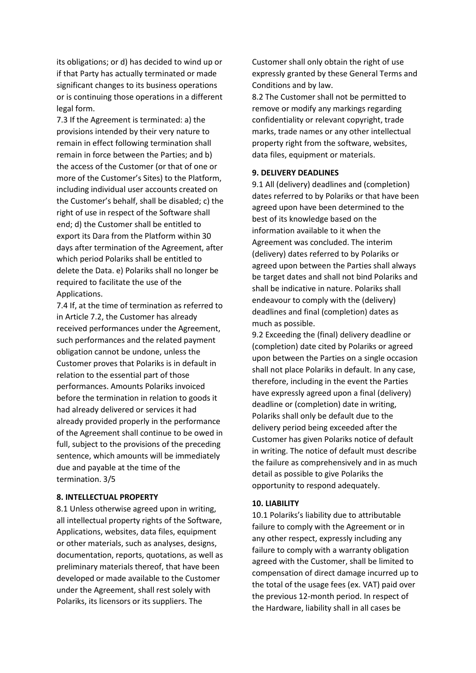its obligations; or d) has decided to wind up or if that Party has actually terminated or made significant changes to its business operations or is continuing those operations in a different legal form.

7.3 If the Agreement is terminated: a) the provisions intended by their very nature to remain in effect following termination shall remain in force between the Parties; and b) the access of the Customer (or that of one or more of the Customer's Sites) to the Platform, including individual user accounts created on the Customer's behalf, shall be disabled; c) the right of use in respect of the Software shall end; d) the Customer shall be entitled to export its Dara from the Platform within 30 days after termination of the Agreement, after which period Polariks shall be entitled to delete the Data. e) Polariks shall no longer be required to facilitate the use of the Applications.

7.4 If, at the time of termination as referred to in Article 7.2, the Customer has already received performances under the Agreement, such performances and the related payment obligation cannot be undone, unless the Customer proves that Polariks is in default in relation to the essential part of those performances. Amounts Polariks invoiced before the termination in relation to goods it had already delivered or services it had already provided properly in the performance of the Agreement shall continue to be owed in full, subject to the provisions of the preceding sentence, which amounts will be immediately due and payable at the time of the termination. 3/5

#### **8. INTELLECTUAL PROPERTY**

8.1 Unless otherwise agreed upon in writing, all intellectual property rights of the Software, Applications, websites, data files, equipment or other materials, such as analyses, designs, documentation, reports, quotations, as well as preliminary materials thereof, that have been developed or made available to the Customer under the Agreement, shall rest solely with Polariks, its licensors or its suppliers. The

Customer shall only obtain the right of use expressly granted by these General Terms and Conditions and by law.

8.2 The Customer shall not be permitted to remove or modify any markings regarding confidentiality or relevant copyright, trade marks, trade names or any other intellectual property right from the software, websites, data files, equipment or materials.

#### **9. DELIVERY DEADLINES**

9.1 All (delivery) deadlines and (completion) dates referred to by Polariks or that have been agreed upon have been determined to the best of its knowledge based on the information available to it when the Agreement was concluded. The interim (delivery) dates referred to by Polariks or agreed upon between the Parties shall always be target dates and shall not bind Polariks and shall be indicative in nature. Polariks shall endeavour to comply with the (delivery) deadlines and final (completion) dates as much as possible.

9.2 Exceeding the (final) delivery deadline or (completion) date cited by Polariks or agreed upon between the Parties on a single occasion shall not place Polariks in default. In any case, therefore, including in the event the Parties have expressly agreed upon a final (delivery) deadline or (completion) date in writing, Polariks shall only be default due to the delivery period being exceeded after the Customer has given Polariks notice of default in writing. The notice of default must describe the failure as comprehensively and in as much detail as possible to give Polariks the opportunity to respond adequately.

#### **10. LIABILITY**

10.1 Polariks's liability due to attributable failure to comply with the Agreement or in any other respect, expressly including any failure to comply with a warranty obligation agreed with the Customer, shall be limited to compensation of direct damage incurred up to the total of the usage fees (ex. VAT) paid over the previous 12-month period. In respect of the Hardware, liability shall in all cases be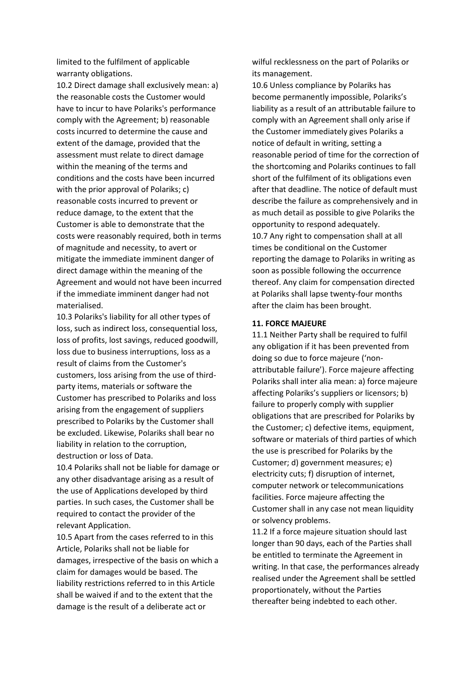limited to the fulfilment of applicable warranty obligations.

10.2 Direct damage shall exclusively mean: a) the reasonable costs the Customer would have to incur to have Polariks's performance comply with the Agreement; b) reasonable costs incurred to determine the cause and extent of the damage, provided that the assessment must relate to direct damage within the meaning of the terms and conditions and the costs have been incurred with the prior approval of Polariks; c) reasonable costs incurred to prevent or reduce damage, to the extent that the Customer is able to demonstrate that the costs were reasonably required, both in terms of magnitude and necessity, to avert or mitigate the immediate imminent danger of direct damage within the meaning of the Agreement and would not have been incurred if the immediate imminent danger had not materialised.

10.3 Polariks's liability for all other types of loss, such as indirect loss, consequential loss, loss of profits, lost savings, reduced goodwill, loss due to business interruptions, loss as a result of claims from the Customer's customers, loss arising from the use of thirdparty items, materials or software the Customer has prescribed to Polariks and loss arising from the engagement of suppliers prescribed to Polariks by the Customer shall be excluded. Likewise, Polariks shall bear no liability in relation to the corruption, destruction or loss of Data.

10.4 Polariks shall not be liable for damage or any other disadvantage arising as a result of the use of Applications developed by third parties. In such cases, the Customer shall be required to contact the provider of the relevant Application.

10.5 Apart from the cases referred to in this Article, Polariks shall not be liable for damages, irrespective of the basis on which a claim for damages would be based. The liability restrictions referred to in this Article shall be waived if and to the extent that the damage is the result of a deliberate act or

wilful recklessness on the part of Polariks or its management.

10.6 Unless compliance by Polariks has become permanently impossible, Polariks's liability as a result of an attributable failure to comply with an Agreement shall only arise if the Customer immediately gives Polariks a notice of default in writing, setting a reasonable period of time for the correction of the shortcoming and Polariks continues to fall short of the fulfilment of its obligations even after that deadline. The notice of default must describe the failure as comprehensively and in as much detail as possible to give Polariks the opportunity to respond adequately. 10.7 Any right to compensation shall at all times be conditional on the Customer reporting the damage to Polariks in writing as soon as possible following the occurrence thereof. Any claim for compensation directed at Polariks shall lapse twenty-four months after the claim has been brought.

#### **11. FORCE MAJEURE**

11.1 Neither Party shall be required to fulfil any obligation if it has been prevented from doing so due to force majeure ('nonattributable failure'). Force majeure affecting Polariks shall inter alia mean: a) force majeure affecting Polariks's suppliers or licensors; b) failure to properly comply with supplier obligations that are prescribed for Polariks by the Customer; c) defective items, equipment, software or materials of third parties of which the use is prescribed for Polariks by the Customer; d) government measures; e) electricity cuts; f) disruption of internet, computer network or telecommunications facilities. Force majeure affecting the Customer shall in any case not mean liquidity or solvency problems.

11.2 If a force majeure situation should last longer than 90 days, each of the Parties shall be entitled to terminate the Agreement in writing. In that case, the performances already realised under the Agreement shall be settled proportionately, without the Parties thereafter being indebted to each other.